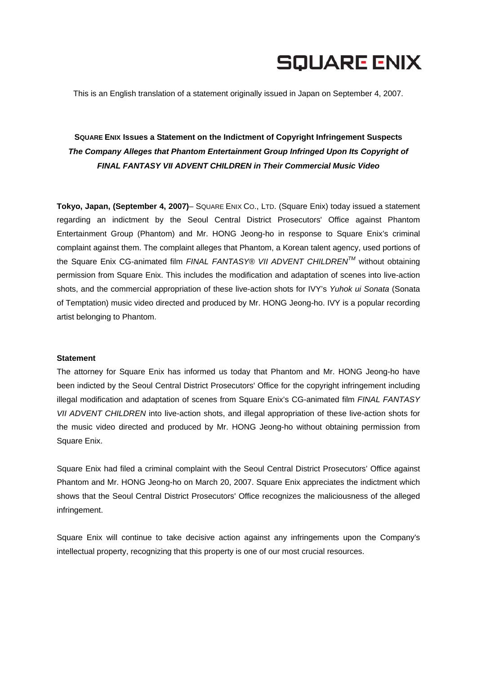# **SQUARE ENIX**

This is an English translation of a statement originally issued in Japan on September 4, 2007.

## **SQUARE ENIX Issues a Statement on the Indictment of Copyright Infringement Suspects**  *The Company Alleges that Phantom Entertainment Group Infringed Upon Its Copyright of FINAL FANTASY VII ADVENT CHILDREN in Their Commercial Music Video*

**Tokyo, Japan, (September 4, 2007)**– SQUARE ENIX CO., LTD. (Square Enix) today issued a statement regarding an indictment by the Seoul Central District Prosecutors' Office against Phantom Entertainment Group (Phantom) and Mr. HONG Jeong-ho in response to Square Enix's criminal complaint against them. The complaint alleges that Phantom, a Korean talent agency, used portions of the Square Enix CG-animated film *FINAL FANTASY® VII ADVENT CHILDRENTM* without obtaining permission from Square Enix. This includes the modification and adaptation of scenes into live-action shots, and the commercial appropriation of these live-action shots for IVY's *Yuhok ui Sonata* (Sonata of Temptation) music video directed and produced by Mr. HONG Jeong-ho. IVY is a popular recording artist belonging to Phantom.

#### **Statement**

The attorney for Square Enix has informed us today that Phantom and Mr. HONG Jeong-ho have been indicted by the Seoul Central District Prosecutors' Office for the copyright infringement including illegal modification and adaptation of scenes from Square Enix's CG-animated film *FINAL FANTASY VII ADVENT CHILDREN* into live-action shots, and illegal appropriation of these live-action shots for the music video directed and produced by Mr. HONG Jeong-ho without obtaining permission from Square Enix.

Square Enix had filed a criminal complaint with the Seoul Central District Prosecutors' Office against Phantom and Mr. HONG Jeong-ho on March 20, 2007. Square Enix appreciates the indictment which shows that the Seoul Central District Prosecutors' Office recognizes the maliciousness of the alleged infringement.

Square Enix will continue to take decisive action against any infringements upon the Company's intellectual property, recognizing that this property is one of our most crucial resources.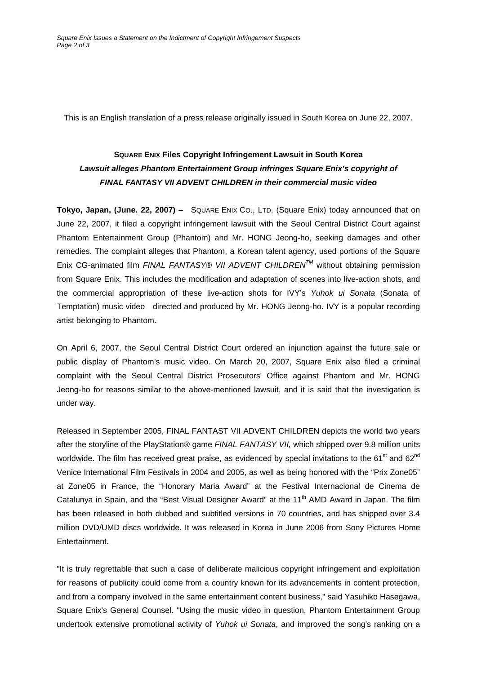This is an English translation of a press release originally issued in South Korea on June 22, 2007.

## **SQUARE ENIX Files Copyright Infringement Lawsuit in South Korea**  *Lawsuit alleges Phantom Entertainment Group infringes Square Enix's copyright of FINAL FANTASY VII ADVENT CHILDREN in their commercial music video*

**Tokyo, Japan, (June. 22, 2007)** – SQUARE ENIX CO., LTD. (Square Enix) today announced that on June 22, 2007, it filed a copyright infringement lawsuit with the Seoul Central District Court against Phantom Entertainment Group (Phantom) and Mr. HONG Jeong-ho, seeking damages and other remedies. The complaint alleges that Phantom, a Korean talent agency, used portions of the Square Enix CG-animated film *FINAL FANTASY® VII ADVENT CHILDRENTM* without obtaining permission from Square Enix. This includes the modification and adaptation of scenes into live-action shots, and the commercial appropriation of these live-action shots for IVY's *Yuhok ui Sonata* (Sonata of Temptation) music video directed and produced by Mr. HONG Jeong-ho. IVY is a popular recording artist belonging to Phantom.

On April 6, 2007, the Seoul Central District Court ordered an injunction against the future sale or public display of Phantom's music video. On March 20, 2007, Square Enix also filed a criminal complaint with the Seoul Central District Prosecutors' Office against Phantom and Mr. HONG Jeong-ho for reasons similar to the above-mentioned lawsuit, and it is said that the investigation is under way.

Released in September 2005, FINAL FANTAST VII ADVENT CHILDREN depicts the world two years after the storyline of the PlayStation® game *FINAL FANTASY VII,* which shipped over 9.8 million units worldwide. The film has received great praise, as evidenced by special invitations to the 61<sup>st</sup> and 62<sup>nd</sup> Venice International Film Festivals in 2004 and 2005, as well as being honored with the "Prix Zone05" at Zone05 in France, the "Honorary Maria Award" at the Festival Internacional de Cinema de Catalunya in Spain, and the "Best Visual Designer Award" at the 11<sup>th</sup> AMD Award in Japan. The film has been released in both dubbed and subtitled versions in 70 countries, and has shipped over 3.4 million DVD/UMD discs worldwide. It was released in Korea in June 2006 from Sony Pictures Home Entertainment.

"It is truly regrettable that such a case of deliberate malicious copyright infringement and exploitation for reasons of publicity could come from a country known for its advancements in content protection, and from a company involved in the same entertainment content business," said Yasuhiko Hasegawa, Square Enix's General Counsel. "Using the music video in question, Phantom Entertainment Group undertook extensive promotional activity of *Yuhok ui Sonata*, and improved the song's ranking on a